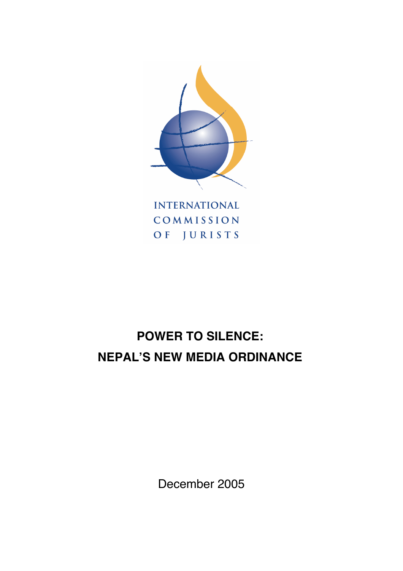

**INTERNATIONAL** COMMISSION OF JURISTS

# **POWER TO SILENCE: NEPAL'S NEW MEDIA ORDINANCE**

December 2005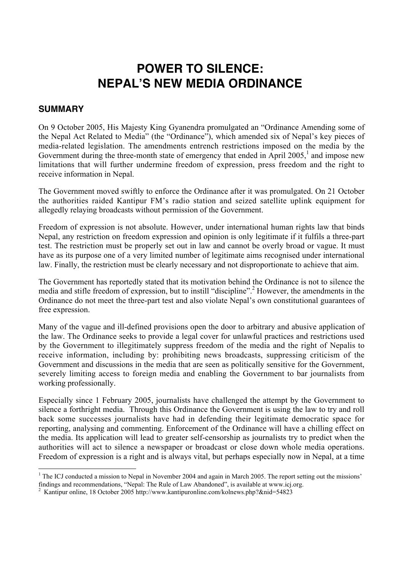## **POWER TO SILENCE: NEPAL'S NEW MEDIA ORDINANCE**

#### **SUMMARY**

On 9 October 2005, His Majesty King Gyanendra promulgated an "Ordinance Amending some of the Nepal Act Related to Media" (the "Ordinance"), which amended six of Nepal's key pieces of media-related legislation. The amendments entrench restrictions imposed on the media by the Government during the three-month state of emergency that ended in April  $2005$ , and impose new limitations that will further undermine freedom of expression, press freedom and the right to receive information in Nepal.

The Government moved swiftly to enforce the Ordinance after it was promulgated. On 21 October the authorities raided Kantipur FM's radio station and seized satellite uplink equipment for allegedly relaying broadcasts without permission of the Government.

Freedom of expression is not absolute. However, under international human rights law that binds Nepal, any restriction on freedom expression and opinion is only legitimate if it fulfils a three-part test. The restriction must be properly set out in law and cannot be overly broad or vague. It must have as its purpose one of a very limited number of legitimate aims recognised under international law. Finally, the restriction must be clearly necessary and not disproportionate to achieve that aim.

The Government has reportedly stated that its motivation behind the Ordinance is not to silence the media and stifle freedom of expression, but to instill "discipline".2 However, the amendments in the Ordinance do not meet the three-part test and also violate Nepal's own constitutional guarantees of free expression.

Many of the vague and ill-defined provisions open the door to arbitrary and abusive application of the law. The Ordinance seeks to provide a legal cover for unlawful practices and restrictions used by the Government to illegitimately suppress freedom of the media and the right of Nepalis to receive information, including by: prohibiting news broadcasts, suppressing criticism of the Government and discussions in the media that are seen as politically sensitive for the Government, severely limiting access to foreign media and enabling the Government to bar journalists from working professionally.

Especially since 1 February 2005, journalists have challenged the attempt by the Government to silence a forthright media. Through this Ordinance the Government is using the law to try and roll back some successes journalists have had in defending their legitimate democratic space for reporting, analysing and commenting. Enforcement of the Ordinance will have a chilling effect on the media. Its application will lead to greater self-censorship as journalists try to predict when the authorities will act to silence a newspaper or broadcast or close down whole media operations. Freedom of expression is a right and is always vital, but perhaps especially now in Nepal, at a time

 $\frac{1}{1}$ <sup>1</sup> The ICJ conducted a mission to Nepal in November 2004 and again in March 2005. The report setting out the missions' findings and recommendations, "Nepal: The Rule of Law Abandoned", is available at www.icj.org.

<sup>2</sup> Kantipur online, 18 October 2005 http://www.kantipuronline.com/kolnews.php?&nid=54823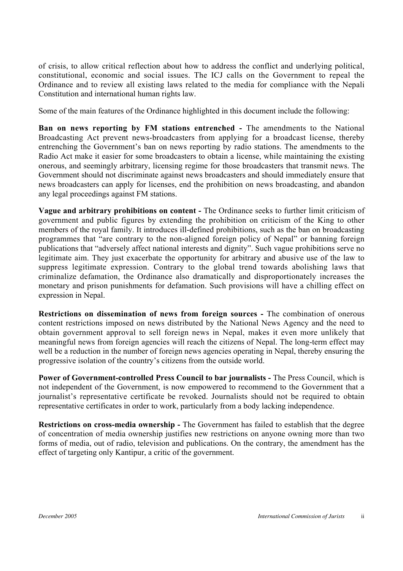of crisis, to allow critical reflection about how to address the conflict and underlying political, constitutional, economic and social issues. The ICJ calls on the Government to repeal the Ordinance and to review all existing laws related to the media for compliance with the Nepali Constitution and international human rights law.

Some of the main features of the Ordinance highlighted in this document include the following:

**Ban on news reporting by FM stations entrenched - The amendments to the National** Broadcasting Act prevent news-broadcasters from applying for a broadcast license, thereby entrenching the Government's ban on news reporting by radio stations. The amendments to the Radio Act make it easier for some broadcasters to obtain a license, while maintaining the existing onerous, and seemingly arbitrary, licensing regime for those broadcasters that transmit news. The Government should not discriminate against news broadcasters and should immediately ensure that news broadcasters can apply for licenses, end the prohibition on news broadcasting, and abandon any legal proceedings against FM stations.

**Vague and arbitrary prohibitions on content -** The Ordinance seeks to further limit criticism of government and public figures by extending the prohibition on criticism of the King to other members of the royal family. It introduces ill-defined prohibitions, such as the ban on broadcasting programmes that "are contrary to the non-aligned foreign policy of Nepal" or banning foreign publications that "adversely affect national interests and dignity". Such vague prohibitions serve no legitimate aim. They just exacerbate the opportunity for arbitrary and abusive use of the law to suppress legitimate expression. Contrary to the global trend towards abolishing laws that criminalize defamation, the Ordinance also dramatically and disproportionately increases the monetary and prison punishments for defamation. Such provisions will have a chilling effect on expression in Nepal.

**Restrictions on dissemination of news from foreign sources -** The combination of onerous content restrictions imposed on news distributed by the National News Agency and the need to obtain government approval to sell foreign news in Nepal, makes it even more unlikely that meaningful news from foreign agencies will reach the citizens of Nepal. The long-term effect may well be a reduction in the number of foreign news agencies operating in Nepal, thereby ensuring the progressive isolation of the country's citizens from the outside world.

**Power of Government-controlled Press Council to bar journalists -** The Press Council, which is not independent of the Government, is now empowered to recommend to the Government that a journalist's representative certificate be revoked. Journalists should not be required to obtain representative certificates in order to work, particularly from a body lacking independence.

**Restrictions on cross-media ownership -** The Government has failed to establish that the degree of concentration of media ownership justifies new restrictions on anyone owning more than two forms of media, out of radio, television and publications. On the contrary, the amendment has the effect of targeting only Kantipur, a critic of the government.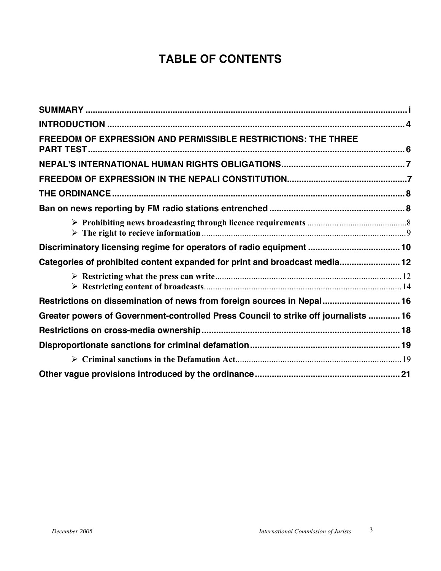## **TABLE OF CONTENTS**

| FREEDOM OF EXPRESSION AND PERMISSIBLE RESTRICTIONS: THE THREE                       |  |
|-------------------------------------------------------------------------------------|--|
|                                                                                     |  |
|                                                                                     |  |
|                                                                                     |  |
|                                                                                     |  |
|                                                                                     |  |
| Discriminatory licensing regime for operators of radio equipment  10                |  |
| Categories of prohibited content expanded for print and broadcast media 12          |  |
|                                                                                     |  |
| Restrictions on dissemination of news from foreign sources in Nepal 16              |  |
| Greater powers of Government-controlled Press Council to strike off journalists  16 |  |
|                                                                                     |  |
|                                                                                     |  |
|                                                                                     |  |
|                                                                                     |  |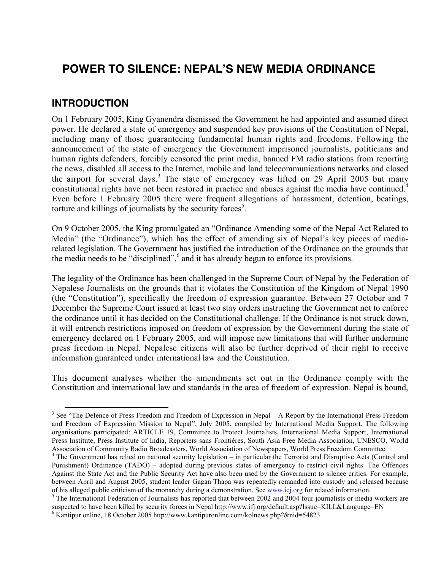## **POWER TO SILENCE: NEPAL'S NEW MEDIA ORDINANCE**

#### **INTRODUCTION**

On 1 February 2005, King Gyanendra dismissed the Government he had appointed and assumed direct power. He declared a state of emergency and suspended key provisions of the Constitution of Nepal, including many of those guaranteeing fundamental human rights and freedoms. Following the announcement of the state of emergency the Government imprisoned journalists, politicians and human rights defenders, forcibly censored the print media, banned FM radio stations from reporting the news, disabled all access to the Internet, mobile and land telecommunications networks and closed the airport for several days.<sup>3</sup> The state of emergency was lifted on 29 April 2005 but many constitutional rights have not been restored in practice and abuses against the media have continued.<sup>4</sup> Even before 1 February 2005 there were frequent allegations of harassment, detention, beatings, torture and killings of journalists by the security forces<sup>5</sup>.

On 9 October 2005, the King promulgated an "Ordinance Amending some of the Nepal Act Related to Media" (the "Ordinance"), which has the effect of amending six of Nepal's key pieces of mediarelated legislation. The Government has justified the introduction of the Ordinance on the grounds that the media needs to be "disciplined",<sup>6</sup> and it has already begun to enforce its provisions.

The legality of the Ordinance has been challenged in the Supreme Court of Nepal by the Federation of Nepalese Journalists on the grounds that it violates the Constitution of the Kingdom of Nepal 1990 (the "Constitution"), specifically the freedom of expression guarantee. Between 27 October and 7 December the Supreme Court issued at least two stay orders instructing the Government not to enforce the ordinance until it has decided on the Constitutional challenge. If the Ordinance is not struck down, it will entrench restrictions imposed on freedom of expression by the Government during the state of emergency declared on 1 February 2005, and will impose new limitations that will further undermine press freedom in Nepal. Nepalese citizens will also be further deprived of their right to receive information guaranteed under international law and the Constitution.

This document analyses whether the amendments set out in the Ordinance comply with the Constitution and international law and standards in the area of freedom of expression. Nepal is bound,

<sup>&</sup>lt;sup>3</sup> See "The Defence of Press Freedom and Freedom of Expression in Nepal – A Report by the International Press Freedom and Freedom of Expression Mission to Nepal", July 2005, compiled by International Media Support. The following organisations participated: ARTICLE 19, Committee to Protect Journalists, International Media Support, International Press Institute, Press Institute of India, Reporters sans Frontières, South Asia Free Media Association, UNESCO, World Association of Community Radio Broadcasters, World Association of Newspapers, World Press Freedom Committee.

<sup>&</sup>lt;sup>4</sup> The Government has relied on national security legislation – in particular the Terrorist and Disruptive Acts (Control and Punishment) Ordinance (TADO) – adopted during previous states of emergency to restrict civil rights. The Offences Against the State Act and the Public Security Act have also been used by the Government to silence critics. For example, between April and August 2005, student leader Gagan Thapa was repeatedly remanded into custody and released because of his alleged public criticism of the monarchy during a demonstration. See www.icj.org for related information.<br><sup>5</sup> The International Federation of Journalists has reported that between 2002 and 2004 four journalists or m

suspected to have been killed by security forces in Nepal http://www.ifj.org/default.asp?Issue=KILL&Language=EN

<sup>&</sup>lt;sup>6</sup> Kantipur online, 18 October 2005 http://www.kantipuronline.com/kolnews.php?&nid=54823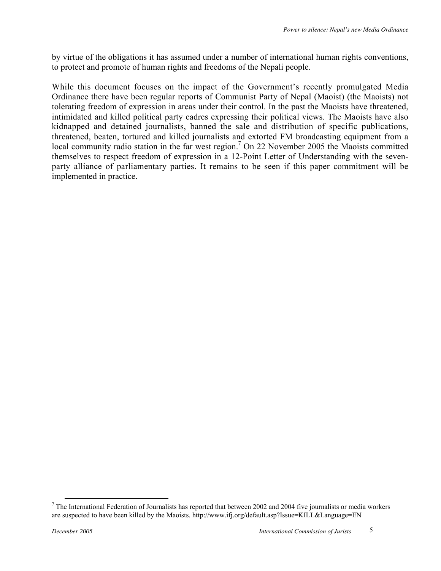by virtue of the obligations it has assumed under a number of international human rights conventions, to protect and promote of human rights and freedoms of the Nepali people.

While this document focuses on the impact of the Government's recently promulgated Media Ordinance there have been regular reports of Communist Party of Nepal (Maoist) (the Maoists) not tolerating freedom of expression in areas under their control. In the past the Maoists have threatened, intimidated and killed political party cadres expressing their political views. The Maoists have also kidnapped and detained journalists, banned the sale and distribution of specific publications, threatened, beaten, tortured and killed journalists and extorted FM broadcasting equipment from a local community radio station in the far west region.<sup>7</sup> On 22 November 2005 the Maoists committed themselves to respect freedom of expression in a 12-Point Letter of Understanding with the sevenparty alliance of parliamentary parties. It remains to be seen if this paper commitment will be implemented in practice.

The International Federation of Journalists has reported that between 2002 and 2004 five journalists or media workers are suspected to have been killed by the Maoists. http://www.ifj.org/default.asp?Issue=KILL&Language=EN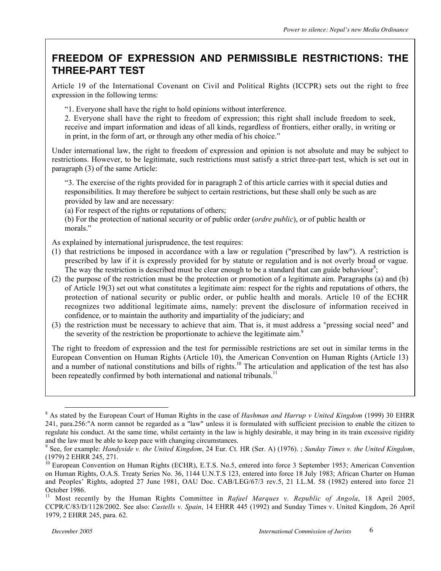### **FREEDOM OF EXPRESSION AND PERMISSIBLE RESTRICTIONS: THE THREE-PART TEST**

Article 19 of the International Covenant on Civil and Political Rights (ICCPR) sets out the right to free expression in the following terms:

"1. Everyone shall have the right to hold opinions without interference.

2. Everyone shall have the right to freedom of expression; this right shall include freedom to seek, receive and impart information and ideas of all kinds, regardless of frontiers, either orally, in writing or in print, in the form of art, or through any other media of his choice."

Under international law, the right to freedom of expression and opinion is not absolute and may be subject to restrictions. However, to be legitimate, such restrictions must satisfy a strict three-part test, which is set out in paragraph (3) of the same Article:

"3. The exercise of the rights provided for in paragraph 2 of this article carries with it special duties and responsibilities. It may therefore be subject to certain restrictions, but these shall only be such as are provided by law and are necessary:

(a) For respect of the rights or reputations of others;

(b) For the protection of national security or of public order (*ordre public*), or of public health or morals."

As explained by international jurisprudence, the test requires:

- (1) that restrictions be imposed in accordance with a law or regulation ("prescribed by law"). A restriction is prescribed by law if it is expressly provided for by statute or regulation and is not overly broad or vague. The way the restriction is described must be clear enough to be a standard that can guide behaviour<sup>8</sup>;
- (2) the purpose of the restriction must be the protection or promotion of a legitimate aim. Paragraphs (a) and (b) of Article 19(3) set out what constitutes a legitimate aim: respect for the rights and reputations of others, the protection of national security or public order, or public health and morals. Article 10 of the ECHR recognizes two additional legitimate aims, namely: prevent the disclosure of information received in confidence, or to maintain the authority and impartiality of the judiciary; and
- (3) the restriction must be necessary to achieve that aim. That is, it must address a "pressing social need" and the severity of the restriction be proportionate to achieve the legitimate  $\dim^9$

The right to freedom of expression and the test for permissible restrictions are set out in similar terms in the European Convention on Human Rights (Article 10), the American Convention on Human Rights (Article 13) and a number of national constitutions and bills of rights.<sup>10</sup> The articulation and application of the test has also been repeatedly confirmed by both international and national tribunals.<sup>11</sup>

 <sup>8</sup> As stated by the European Court of Human Rights in the case of *Hashman and Harrup v United Kingdom* (1999) 30 EHRR 241, para.256:"A norm cannot be regarded as a "law" unless it is formulated with sufficient precision to enable the citizen to regulate his conduct. At the same time, whilst certainty in the law is highly desirable, it may bring in its train excessive rigidity and the law must be able to keep pace with changing circumstances.

<sup>9</sup> See, for example: *Handyside v. the United Kingdom*, 24 Eur. Ct. HR (Ser. A) (1976). ; *Sunday Times v. the United Kingdom*, (1979) 2 EHRR 245, 271.

 $^{10}$  European Convention on Human Rights (ECHR), E.T.S. No.5, entered into force 3 September 1953; American Convention on Human Rights, O.A.S. Treaty Series No. 36, 1144 U.N.T.S 123, entered into force 18 July 1983; African Charter on Human and Peoples' Rights, adopted 27 June 1981, OAU Doc. CAB/LEG/67/3 rev.5, 21 I.L.M. 58 (1982) entered into force 21 October 1986.

<sup>&</sup>lt;sup>11</sup> Most recently by the Human Rights Committee in *Rafael Marques v. Republic of Angola*, 18 April 2005, CCPR/C/83/D/1128/2002. See also: *Castells v. Spain*, 14 EHRR 445 (1992) and Sunday Times v. United Kingdom, 26 April 1979, 2 EHRR 245, para. 62.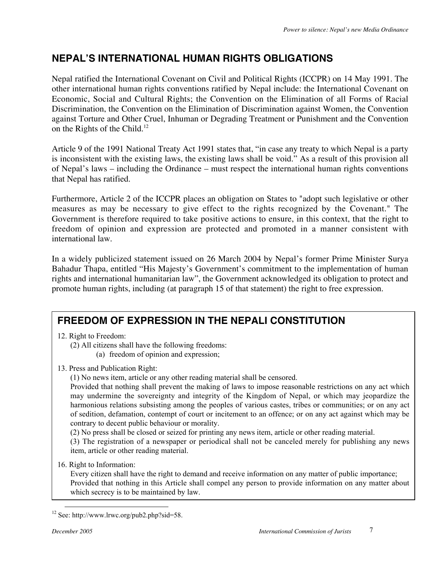## **NEPAL'S INTERNATIONAL HUMAN RIGHTS OBLIGATIONS**

Nepal ratified the International Covenant on Civil and Political Rights (ICCPR) on 14 May 1991. The other international human rights conventions ratified by Nepal include: the International Covenant on Economic, Social and Cultural Rights; the Convention on the Elimination of all Forms of Racial Discrimination, the Convention on the Elimination of Discrimination against Women, the Convention against Torture and Other Cruel, Inhuman or Degrading Treatment or Punishment and the Convention on the Rights of the Child.<sup>12</sup>

Article 9 of the 1991 National Treaty Act 1991 states that, "in case any treaty to which Nepal is a party is inconsistent with the existing laws, the existing laws shall be void." As a result of this provision all of Nepal's laws – including the Ordinance – must respect the international human rights conventions that Nepal has ratified.

Furthermore, Article 2 of the ICCPR places an obligation on States to "adopt such legislative or other measures as may be necessary to give effect to the rights recognized by the Covenant." The Government is therefore required to take positive actions to ensure, in this context, that the right to freedom of opinion and expression are protected and promoted in a manner consistent with international law.

In a widely publicized statement issued on 26 March 2004 by Nepal's former Prime Minister Surya Bahadur Thapa, entitled "His Majesty's Government's commitment to the implementation of human rights and international humanitarian law", the Government acknowledged its obligation to protect and promote human rights, including (at paragraph 15 of that statement) the right to free expression.

## **FREEDOM OF EXPRESSION IN THE NEPALI CONSTITUTION**

12. Right to Freedom:

(2) All citizens shall have the following freedoms: (a) freedom of opinion and expression;

13. Press and Publication Right:

(1) No news item, article or any other reading material shall be censored.

Provided that nothing shall prevent the making of laws to impose reasonable restrictions on any act which may undermine the sovereignty and integrity of the Kingdom of Nepal, or which may jeopardize the harmonious relations subsisting among the peoples of various castes, tribes or communities; or on any act of sedition, defamation, contempt of court or incitement to an offence; or on any act against which may be contrary to decent public behaviour or morality.

(2) No press shall be closed or seized for printing any news item, article or other reading material.

(3) The registration of a newspaper or periodical shall not be canceled merely for publishing any news item, article or other reading material.

16. Right to Information:

Every citizen shall have the right to demand and receive information on any matter of public importance; Provided that nothing in this Article shall compel any person to provide information on any matter about which secrecy is to be maintained by law.

<sup>&</sup>lt;sup>12</sup> See: http://www.lrwc.org/pub2.php?sid=58.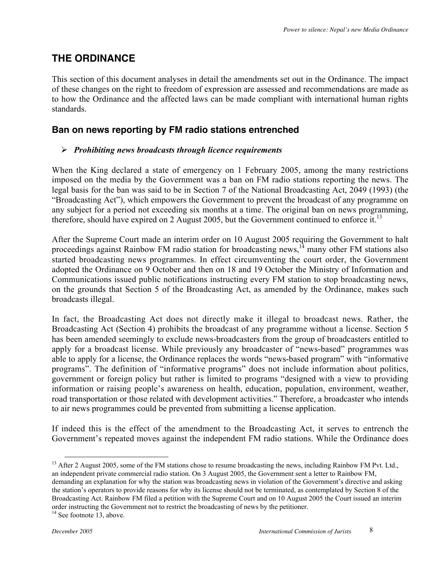### **THE ORDINANCE**

This section of this document analyses in detail the amendments set out in the Ordinance. The impact of these changes on the right to freedom of expression are assessed and recommendations are made as to how the Ordinance and the affected laws can be made compliant with international human rights standards.

#### **Ban on news reporting by FM radio stations entrenched**

#### *Prohibiting news broadcasts through licence requirements*

When the King declared a state of emergency on 1 February 2005, among the many restrictions imposed on the media by the Government was a ban on FM radio stations reporting the news. The legal basis for the ban was said to be in Section 7 of the National Broadcasting Act, 2049 (1993) (the "Broadcasting Act"), which empowers the Government to prevent the broadcast of any programme on any subject for a period not exceeding six months at a time. The original ban on news programming, therefore, should have expired on 2 August 2005, but the Government continued to enforce it.<sup>13</sup>

After the Supreme Court made an interim order on 10 August 2005 requiring the Government to halt proceedings against Rainbow FM radio station for broadcasting news,<sup>14</sup> many other FM stations also started broadcasting news programmes. In effect circumventing the court order, the Government adopted the Ordinance on 9 October and then on 18 and 19 October the Ministry of Information and Communications issued public notifications instructing every FM station to stop broadcasting news, on the grounds that Section 5 of the Broadcasting Act, as amended by the Ordinance, makes such broadcasts illegal.

In fact, the Broadcasting Act does not directly make it illegal to broadcast news. Rather, the Broadcasting Act (Section 4) prohibits the broadcast of any programme without a license. Section 5 has been amended seemingly to exclude news-broadcasters from the group of broadcasters entitled to apply for a broadcast license. While previously any broadcaster of "news-based" programmes was able to apply for a license, the Ordinance replaces the words "news-based program" with "informative programs". The definition of "informative programs" does not include information about politics, government or foreign policy but rather is limited to programs "designed with a view to providing information or raising people's awareness on health, education, population, environment, weather, road transportation or those related with development activities." Therefore, a broadcaster who intends to air news programmes could be prevented from submitting a license application.

If indeed this is the effect of the amendment to the Broadcasting Act, it serves to entrench the Government's repeated moves against the independent FM radio stations. While the Ordinance does

<sup>&</sup>lt;sup>13</sup> After 2 August 2005, some of the FM stations chose to resume broadcasting the news, including Rainbow FM Pvt. Ltd., an independent private commercial radio station. On 3 August 2005, the Government sent a letter to Rainbow FM, demanding an explanation for why the station was broadcasting news in violation of the Government's directive and asking the station's operators to provide reasons for why its license should not be terminated, as contemplated by Section 8 of the Broadcasting Act. Rainbow FM filed a petition with the Supreme Court and on 10 August 2005 the Court issued an interim order instructing the Government not to restrict the broadcasting of news by the petitioner.

<sup>&</sup>lt;sup>14</sup> See footnote 13, above.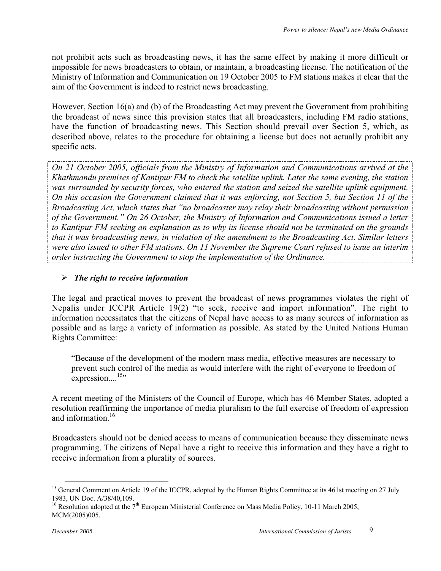not prohibit acts such as broadcasting news, it has the same effect by making it more difficult or impossible for news broadcasters to obtain, or maintain, a broadcasting license. The notification of the Ministry of Information and Communication on 19 October 2005 to FM stations makes it clear that the aim of the Government is indeed to restrict news broadcasting.

However, Section 16(a) and (b) of the Broadcasting Act may prevent the Government from prohibiting the broadcast of news since this provision states that all broadcasters, including FM radio stations, have the function of broadcasting news. This Section should prevail over Section 5, which, as described above, relates to the procedure for obtaining a license but does not actually prohibit any specific acts.

*On 21 October 2005, officials from the Ministry of Information and Communications arrived at the Khathmandu premises of Kantipur FM to check the satellite uplink. Later the same evening, the station was surrounded by security forces, who entered the station and seized the satellite uplink equipment. On this occasion the Government claimed that it was enforcing, not Section 5, but Section 11 of the Broadcasting Act, which states that "no broadcaster may relay their broadcasting without permission of the Government." On 26 October, the Ministry of Information and Communications issued a letter to Kantipur FM seeking an explanation as to why its license should not be terminated on the grounds that it was broadcasting news, in violation of the amendment to the Broadcasting Act. Similar letters were also issued to other FM stations. On 11 November the Supreme Court refused to issue an interim order instructing the Government to stop the implementation of the Ordinance.*

#### *The right to receive information*

The legal and practical moves to prevent the broadcast of news programmes violates the right of Nepalis under ICCPR Article 19(2) "to seek, receive and import information". The right to information necessitates that the citizens of Nepal have access to as many sources of information as possible and as large a variety of information as possible. As stated by the United Nations Human Rights Committee:

"Because of the development of the modern mass media, effective measures are necessary to prevent such control of the media as would interfere with the right of everyone to freedom of expression....<sup>15</sup>"

A recent meeting of the Ministers of the Council of Europe, which has 46 Member States, adopted a resolution reaffirming the importance of media pluralism to the full exercise of freedom of expression and information  $16$ 

Broadcasters should not be denied access to means of communication because they disseminate news programming. The citizens of Nepal have a right to receive this information and they have a right to receive information from a plurality of sources.

<sup>&</sup>lt;sup>15</sup> General Comment on Article 19 of the ICCPR, adopted by the Human Rights Committee at its 461st meeting on 27 July 1983, UN Doc. A/38/40,109.

<sup>&</sup>lt;sup>16</sup> Resolution adopted at the  $7<sup>th</sup>$  European Ministerial Conference on Mass Media Policy, 10-11 March 2005, MCM(2005)005.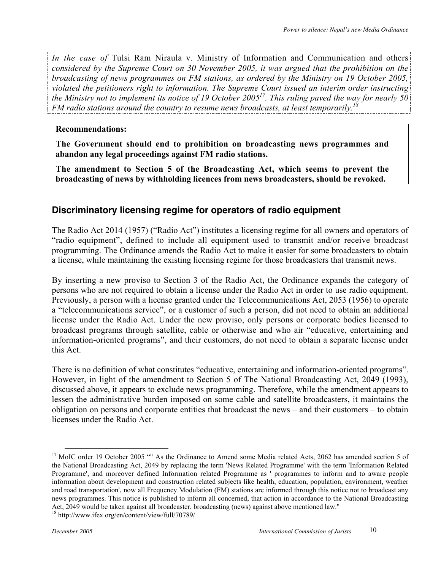*In the case of* Tulsi Ram Niraula v. Ministry of Information and Communication and others *considered by the Supreme Court on 30 November 2005, it was argued that the prohibition on the broadcasting of news programmes on FM stations, as ordered by the Ministry on 19 October 2005, violated the petitioners right to information. The Supreme Court issued an interim order instructing the Ministry not to implement its notice of 19 October 200517 . This ruling paved the way for nearly 50 FM radio stations around the country to resume news broadcasts, at least temporarily.*<sup>1</sup>

#### **Recommendations:**

**The Government should end to prohibition on broadcasting news programmes and abandon any legal proceedings against FM radio stations.**

**The amendment to Section 5 of the Broadcasting Act, which seems to prevent the broadcasting of news by withholding licences from news broadcasters, should be revoked.**

#### **Discriminatory licensing regime for operators of radio equipment**

The Radio Act 2014 (1957) ("Radio Act") institutes a licensing regime for all owners and operators of "radio equipment", defined to include all equipment used to transmit and/or receive broadcast programming. The Ordinance amends the Radio Act to make it easier for some broadcasters to obtain a license, while maintaining the existing licensing regime for those broadcasters that transmit news.

By inserting a new proviso to Section 3 of the Radio Act, the Ordinance expands the category of persons who are not required to obtain a license under the Radio Act in order to use radio equipment. Previously, a person with a license granted under the Telecommunications Act, 2053 (1956) to operate a "telecommunications service", or a customer of such a person, did not need to obtain an additional license under the Radio Act. Under the new proviso, only persons or corporate bodies licensed to broadcast programs through satellite, cable or otherwise and who air "educative, entertaining and information-oriented programs", and their customers, do not need to obtain a separate license under this Act.

There is no definition of what constitutes "educative, entertaining and information-oriented programs". However, in light of the amendment to Section 5 of The National Broadcasting Act, 2049 (1993), discussed above, it appears to exclude news programming. Therefore, while the amendment appears to lessen the administrative burden imposed on some cable and satellite broadcasters, it maintains the obligation on persons and corporate entities that broadcast the news – and their customers – to obtain licenses under the Radio Act.

<sup>&</sup>lt;sup>17</sup> MoIC order 19 October 2005 "" As the Ordinance to Amend some Media related Acts, 2062 has amended section 5 of the National Broadcasting Act, 2049 by replacing the term 'News Related Programme' with the term 'Information Related Programme', and moreover defined Information related Programme as ' programmes to inform and to aware people information about development and construction related subjects like health, education, population, environment, weather and road transportation', now all Frequency Modulation (FM) stations are informed through this notice not to broadcast any news programmes. This notice is published to inform all concerned, that action in accordance to the National Broadcasting Act, 2049 would be taken against all broadcaster, broadcasting (news) against above mentioned law."

<sup>18</sup> http://www.ifex.org/en/content/view/full/70789/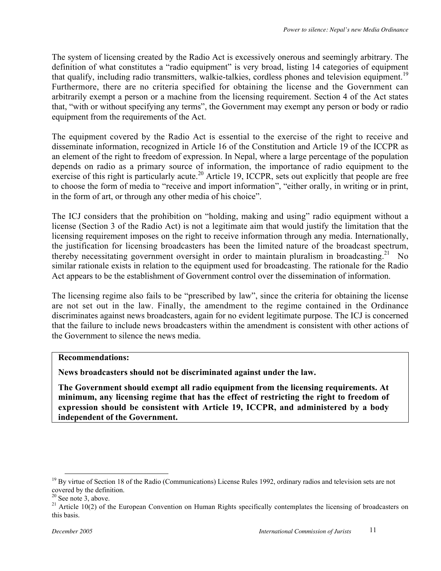The system of licensing created by the Radio Act is excessively onerous and seemingly arbitrary. The definition of what constitutes a "radio equipment" is very broad, listing 14 categories of equipment that qualify, including radio transmitters, walkie-talkies, cordless phones and television equipment.<sup>19</sup> Furthermore, there are no criteria specified for obtaining the license and the Government can arbitrarily exempt a person or a machine from the licensing requirement. Section 4 of the Act states that, "with or without specifying any terms", the Government may exempt any person or body or radio equipment from the requirements of the Act.

The equipment covered by the Radio Act is essential to the exercise of the right to receive and disseminate information, recognized in Article 16 of the Constitution and Article 19 of the ICCPR as an element of the right to freedom of expression. In Nepal, where a large percentage of the population depends on radio as a primary source of information, the importance of radio equipment to the exercise of this right is particularly acute.<sup>20</sup> Article 19, ICCPR, sets out explicitly that people are free to choose the form of media to "receive and import information", "either orally, in writing or in print, in the form of art, or through any other media of his choice".

The ICJ considers that the prohibition on "holding, making and using" radio equipment without a license (Section 3 of the Radio Act) is not a legitimate aim that would justify the limitation that the licensing requirement imposes on the right to receive information through any media. Internationally, the justification for licensing broadcasters has been the limited nature of the broadcast spectrum, thereby necessitating government oversight in order to maintain pluralism in broadcasting.<sup>21</sup> No similar rationale exists in relation to the equipment used for broadcasting. The rationale for the Radio Act appears to be the establishment of Government control over the dissemination of information.

The licensing regime also fails to be "prescribed by law", since the criteria for obtaining the license are not set out in the law. Finally, the amendment to the regime contained in the Ordinance discriminates against news broadcasters, again for no evident legitimate purpose. The ICJ is concerned that the failure to include news broadcasters within the amendment is consistent with other actions of the Government to silence the news media.

#### **Recommendations:**

**News broadcasters should not be discriminated against under the law.**

**The Government should exempt all radio equipment from the licensing requirements. At minimum, any licensing regime that has the effect of restricting the right to freedom of expression should be consistent with Article 19, ICCPR, and administered by a body independent of the Government.**

<sup>&</sup>lt;sup>19</sup> By virtue of Section 18 of the Radio (Communications) License Rules 1992, ordinary radios and television sets are not covered by the definition. 20 See note 3, above.

<sup>&</sup>lt;sup>21</sup> Article 10(2) of the European Convention on Human Rights specifically contemplates the licensing of broadcasters on this basis.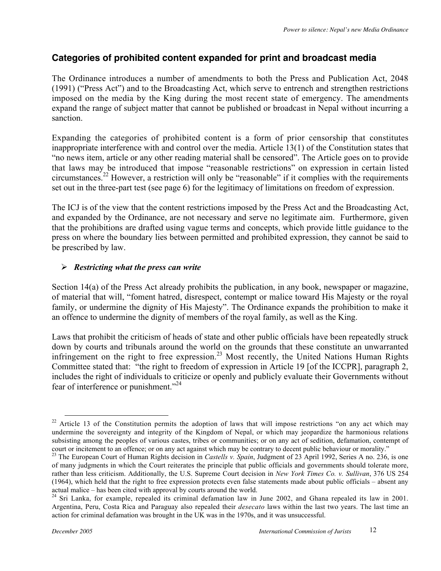#### **Categories of prohibited content expanded for print and broadcast media**

The Ordinance introduces a number of amendments to both the Press and Publication Act, 2048 (1991) ("Press Act") and to the Broadcasting Act, which serve to entrench and strengthen restrictions imposed on the media by the King during the most recent state of emergency. The amendments expand the range of subject matter that cannot be published or broadcast in Nepal without incurring a sanction.

Expanding the categories of prohibited content is a form of prior censorship that constitutes inappropriate interference with and control over the media. Article 13(1) of the Constitution states that "no news item, article or any other reading material shall be censored". The Article goes on to provide that laws may be introduced that impose "reasonable restrictions" on expression in certain listed circumstances.<sup>22</sup> However, a restriction will only be "reasonable" if it complies with the requirements set out in the three-part test (see page 6) for the legitimacy of limitations on freedom of expression.

The ICJ is of the view that the content restrictions imposed by the Press Act and the Broadcasting Act, and expanded by the Ordinance, are not necessary and serve no legitimate aim. Furthermore, given that the prohibitions are drafted using vague terms and concepts, which provide little guidance to the press on where the boundary lies between permitted and prohibited expression, they cannot be said to be prescribed by law.

#### *Restricting what the press can write*

Section 14(a) of the Press Act already prohibits the publication, in any book, newspaper or magazine, of material that will, "foment hatred, disrespect, contempt or malice toward His Majesty or the royal family, or undermine the dignity of His Majesty". The Ordinance expands the prohibition to make it an offence to undermine the dignity of members of the royal family, as well as the King.

Laws that prohibit the criticism of heads of state and other public officials have been repeatedly struck down by courts and tribunals around the world on the grounds that these constitute an unwarranted infringement on the right to free expression.<sup>23</sup> Most recently, the United Nations Human Rights Committee stated that: "the right to freedom of expression in Article 19 [of the ICCPR], paragraph 2, includes the right of individuals to criticize or openly and publicly evaluate their Governments without fear of interference or punishment."<sup>24</sup>

 $22$  Article 13 of the Constitution permits the adoption of laws that will impose restrictions "on any act which may undermine the sovereignty and integrity of the Kingdom of Nepal, or which may jeopardize the harmonious relations subsisting among the peoples of various castes, tribes or communities; or on any act of sedition, defamation, contempt of court or incitement to an offence; or on any act against which may be contrary to decent public behaviour or morality."

<sup>23</sup> The European Court of Human Rights decision in *Castells v. Spain*, Judgment of 23 April 1992, Series A no. 236, is one of many judgments in which the Court reiterates the principle that public officials and governments should tolerate more, rather than less criticism. Additionally, the U.S. Supreme Court decision in *New York Times Co. v. Sullivan*, 376 US 254 (1964), which held that the right to free expression protects even false statements made about public officials – absent any actual malice – has been cited with approval by courts around the world.

<sup>&</sup>lt;sup>24</sup> Sri Lanka, for example, repealed its criminal defamation law in June 2002, and Ghana repealed its law in 2001. Argentina, Peru, Costa Rica and Paraguay also repealed their *desecato* laws within the last two years. The last time an action for criminal defamation was brought in the UK was in the 1970s, and it was unsuccessful.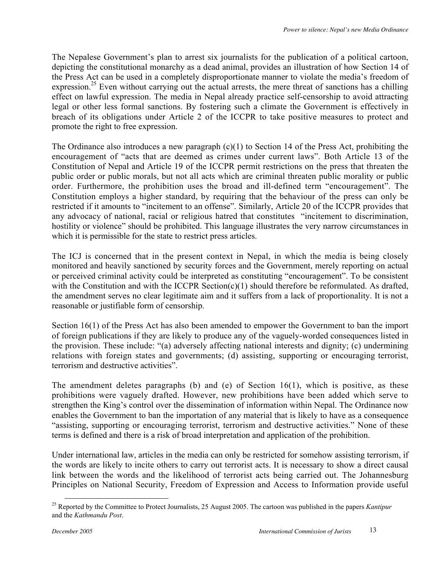The Nepalese Government's plan to arrest six journalists for the publication of a political cartoon, depicting the constitutional monarchy as a dead animal, provides an illustration of how Section 14 of the Press Act can be used in a completely disproportionate manner to violate the media's freedom of expression.<sup>25</sup> Even without carrying out the actual arrests, the mere threat of sanctions has a chilling effect on lawful expression. The media in Nepal already practice self-censorship to avoid attracting legal or other less formal sanctions. By fostering such a climate the Government is effectively in breach of its obligations under Article 2 of the ICCPR to take positive measures to protect and promote the right to free expression.

The Ordinance also introduces a new paragraph (c)(1) to Section 14 of the Press Act, prohibiting the encouragement of "acts that are deemed as crimes under current laws". Both Article 13 of the Constitution of Nepal and Article 19 of the ICCPR permit restrictions on the press that threaten the public order or public morals, but not all acts which are criminal threaten public morality or public order. Furthermore, the prohibition uses the broad and ill-defined term "encouragement". The Constitution employs a higher standard, by requiring that the behaviour of the press can only be restricted if it amounts to "incitement to an offense". Similarly, Article 20 of the ICCPR provides that any advocacy of national, racial or religious hatred that constitutes "incitement to discrimination, hostility or violence" should be prohibited. This language illustrates the very narrow circumstances in which it is permissible for the state to restrict press articles.

The ICJ is concerned that in the present context in Nepal, in which the media is being closely monitored and heavily sanctioned by security forces and the Government, merely reporting on actual or perceived criminal activity could be interpreted as constituting "encouragement". To be consistent with the Constitution and with the ICCPR Section(c)(1) should therefore be reformulated. As drafted, the amendment serves no clear legitimate aim and it suffers from a lack of proportionality. It is not a reasonable or justifiable form of censorship.

Section 16(1) of the Press Act has also been amended to empower the Government to ban the import of foreign publications if they are likely to produce any of the vaguely-worded consequences listed in the provision. These include: "(a) adversely affecting national interests and dignity; (c) undermining relations with foreign states and governments; (d) assisting, supporting or encouraging terrorist, terrorism and destructive activities".

The amendment deletes paragraphs (b) and (e) of Section 16(1), which is positive, as these prohibitions were vaguely drafted. However, new prohibitions have been added which serve to strengthen the King's control over the dissemination of information within Nepal. The Ordinance now enables the Government to ban the importation of any material that is likely to have as a consequence "assisting, supporting or encouraging terrorist, terrorism and destructive activities." None of these terms is defined and there is a risk of broad interpretation and application of the prohibition.

Under international law, articles in the media can only be restricted for somehow assisting terrorism, if the words are likely to incite others to carry out terrorist acts. It is necessary to show a direct causal link between the words and the likelihood of terrorist acts being carried out. The Johannesburg Principles on National Security, Freedom of Expression and Access to Information provide useful

<sup>&</sup>lt;sup>25</sup> Reported by the Committee to Protect Journalists, 25 August 2005. The cartoon was published in the papers *Kantipur* and the *Kathmandu Post*.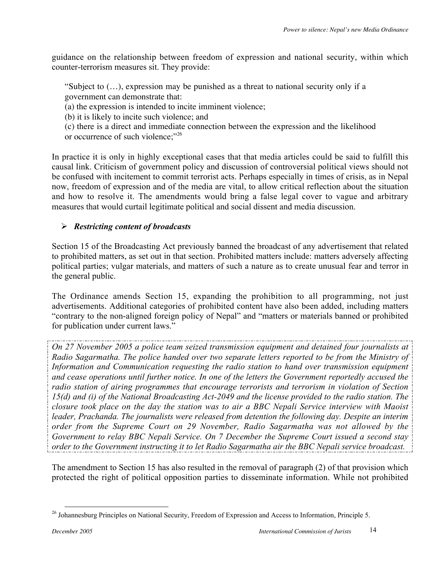guidance on the relationship between freedom of expression and national security, within which counter-terrorism measures sit. They provide:

"Subject to (…), expression may be punished as a threat to national security only if a government can demonstrate that:

(a) the expression is intended to incite imminent violence;

(b) it is likely to incite such violence; and

(c) there is a direct and immediate connection between the expression and the likelihood or occurrence of such violence;"<sup>26</sup>

In practice it is only in highly exceptional cases that that media articles could be said to fulfill this causal link. Criticism of government policy and discussion of controversial political views should not be confused with incitement to commit terrorist acts. Perhaps especially in times of crisis, as in Nepal now, freedom of expression and of the media are vital, to allow critical reflection about the situation and how to resolve it. The amendments would bring a false legal cover to vague and arbitrary measures that would curtail legitimate political and social dissent and media discussion.

#### *Restricting content of broadcasts*

Section 15 of the Broadcasting Act previously banned the broadcast of any advertisement that related to prohibited matters, as set out in that section. Prohibited matters include: matters adversely affecting political parties; vulgar materials, and matters of such a nature as to create unusual fear and terror in the general public.

The Ordinance amends Section 15, expanding the prohibition to all programming, not just advertisements. Additional categories of prohibited content have also been added, including matters "contrary to the non-aligned foreign policy of Nepal" and "matters or materials banned or prohibited for publication under current laws."

*On 27 November 2005 a police team seized transmission equipment and detained four journalists at Radio Sagarmatha. The police handed over two separate letters reported to be from the Ministry of Information and Communication requesting the radio station to hand over transmission equipment and cease operations until further notice. In one of the letters the Government reportedly accused the radio station of airing programmes that encourage terrorists and terrorism in violation of Section 15(d) and (i) of the National Broadcasting Act-2049 and the license provided to the radio station. The closure took place on the day the station was to air a BBC Nepali Service interview with Maoist leader, Prachanda. The journalists were released from detention the following day. Despite an interim order from the Supreme Court on 29 November, Radio Sagarmatha was not allowed by the Government to relay BBC Nepali Service. On 7 December the Supreme Court issued a second stay order to the Government instructing it to let Radio Sagarmatha air the BBC Nepali service broadcast.*

The amendment to Section 15 has also resulted in the removal of paragraph (2) of that provision which protected the right of political opposition parties to disseminate information. While not prohibited

<sup>&</sup>lt;sup>26</sup> Johannesburg Principles on National Security, Freedom of Expression and Access to Information, Principle 5.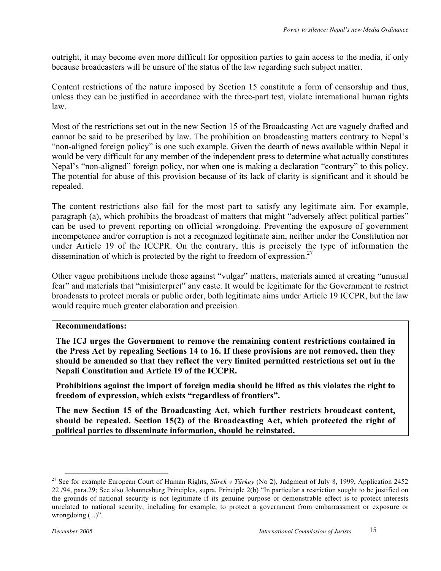outright, it may become even more difficult for opposition parties to gain access to the media, if only because broadcasters will be unsure of the status of the law regarding such subject matter.

Content restrictions of the nature imposed by Section 15 constitute a form of censorship and thus, unless they can be justified in accordance with the three-part test, violate international human rights law.

Most of the restrictions set out in the new Section 15 of the Broadcasting Act are vaguely drafted and cannot be said to be prescribed by law. The prohibition on broadcasting matters contrary to Nepal's "non-aligned foreign policy" is one such example. Given the dearth of news available within Nepal it would be very difficult for any member of the independent press to determine what actually constitutes Nepal's "non-aligned" foreign policy, nor when one is making a declaration "contrary" to this policy. The potential for abuse of this provision because of its lack of clarity is significant and it should be repealed.

The content restrictions also fail for the most part to satisfy any legitimate aim. For example, paragraph (a), which prohibits the broadcast of matters that might "adversely affect political parties" can be used to prevent reporting on official wrongdoing. Preventing the exposure of government incompetence and/or corruption is not a recognized legitimate aim, neither under the Constitution nor under Article 19 of the ICCPR. On the contrary, this is precisely the type of information the dissemination of which is protected by the right to freedom of expression.<sup>27</sup>

Other vague prohibitions include those against "vulgar" matters, materials aimed at creating "unusual fear" and materials that "misinterpret" any caste. It would be legitimate for the Government to restrict broadcasts to protect morals or public order, both legitimate aims under Article 19 ICCPR, but the law would require much greater elaboration and precision.

#### **Recommendations:**

**The ICJ urges the Government to remove the remaining content restrictions contained in the Press Act by repealing Sections 14 to 16. If these provisions are not removed, then they should be amended so that they reflect the very limited permitted restrictions set out in the Nepali Constitution and Article 19 of the ICCPR.**

**Prohibitions against the import of foreign media should be lifted as this violates the right to freedom of expression, which exists "regardless of frontiers".**

**The new Section 15 of the Broadcasting Act, which further restricts broadcast content, should be repealed. Section 15(2) of the Broadcasting Act, which protected the right of political parties to disseminate information, should be reinstated.**

 <sup>27</sup> See for example European Court of Human Rights, *Sürek v Türkey* (No 2), Judgment of July 8, 1999, Application 2452 22 /94, para.29; See also Johannesburg Principles, supra, Principle 2(b) "In particular a restriction sought to be justified on the grounds of national security is not legitimate if its genuine purpose or demonstrable effect is to protect interests unrelated to national security, including for example, to protect a government from embarrassment or exposure or wrongdoing  $(...)$ ".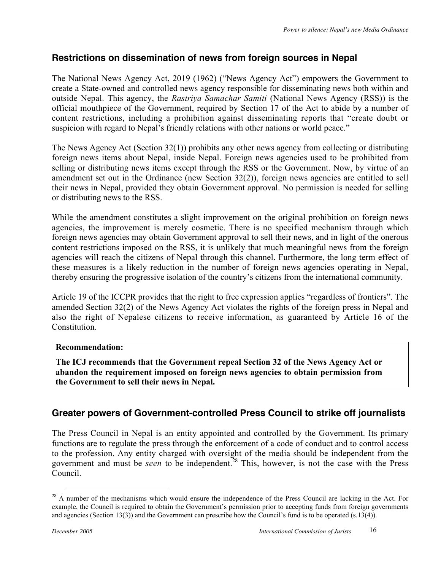#### **Restrictions on dissemination of news from foreign sources in Nepal**

The National News Agency Act, 2019 (1962) ("News Agency Act") empowers the Government to create a State-owned and controlled news agency responsible for disseminating news both within and outside Nepal. This agency, the *Rastriya Samachar Samiti* (National News Agency (RSS)) is the official mouthpiece of the Government, required by Section 17 of the Act to abide by a number of content restrictions, including a prohibition against disseminating reports that "create doubt or suspicion with regard to Nepal's friendly relations with other nations or world peace."

The News Agency Act (Section 32(1)) prohibits any other news agency from collecting or distributing foreign news items about Nepal, inside Nepal. Foreign news agencies used to be prohibited from selling or distributing news items except through the RSS or the Government. Now, by virtue of an amendment set out in the Ordinance (new Section 32(2)), foreign news agencies are entitled to sell their news in Nepal, provided they obtain Government approval. No permission is needed for selling or distributing news to the RSS.

While the amendment constitutes a slight improvement on the original prohibition on foreign news agencies, the improvement is merely cosmetic. There is no specified mechanism through which foreign news agencies may obtain Government approval to sell their news, and in light of the onerous content restrictions imposed on the RSS, it is unlikely that much meaningful news from the foreign agencies will reach the citizens of Nepal through this channel. Furthermore, the long term effect of these measures is a likely reduction in the number of foreign news agencies operating in Nepal, thereby ensuring the progressive isolation of the country's citizens from the international community.

Article 19 of the ICCPR provides that the right to free expression applies "regardless of frontiers". The amended Section 32(2) of the News Agency Act violates the rights of the foreign press in Nepal and also the right of Nepalese citizens to receive information, as guaranteed by Article 16 of the **Constitution** 

#### **Recommendation:**

**The ICJ recommends that the Government repeal Section 32 of the News Agency Act or abandon the requirement imposed on foreign news agencies to obtain permission from the Government to sell their news in Nepal.**

#### **Greater powers of Government-controlled Press Council to strike off journalists**

The Press Council in Nepal is an entity appointed and controlled by the Government. Its primary functions are to regulate the press through the enforcement of a code of conduct and to control access to the profession. Any entity charged with oversight of the media should be independent from the government and must be *seen* to be independent.<sup>28</sup> This, however, is not the case with the Press Council.

 $^{28}$  A number of the mechanisms which would ensure the independence of the Press Council are lacking in the Act. For example, the Council is required to obtain the Government's permission prior to accepting funds from foreign governments and agencies (Section 13(3)) and the Government can prescribe how the Council's fund is to be operated (s.13(4)).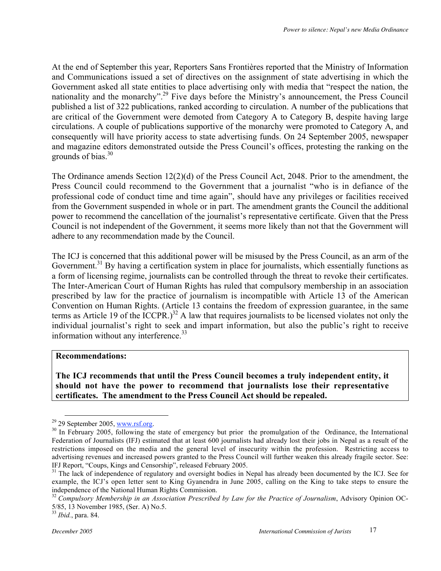At the end of September this year, Reporters Sans Frontières reported that the Ministry of Information and Communications issued a set of directives on the assignment of state advertising in which the Government asked all state entities to place advertising only with media that "respect the nation, the nationality and the monarchy".<sup>29</sup> Five days before the Ministry's announcement, the Press Council published a list of 322 publications, ranked according to circulation. A number of the publications that are critical of the Government were demoted from Category A to Category B, despite having large circulations. A couple of publications supportive of the monarchy were promoted to Category A, and consequently will have priority access to state advertising funds. On 24 September 2005, newspaper and magazine editors demonstrated outside the Press Council's offices, protesting the ranking on the grounds of bias. $30$ 

The Ordinance amends Section 12(2)(d) of the Press Council Act, 2048. Prior to the amendment, the Press Council could recommend to the Government that a journalist "who is in defiance of the professional code of conduct time and time again", should have any privileges or facilities received from the Government suspended in whole or in part. The amendment grants the Council the additional power to recommend the cancellation of the journalist's representative certificate. Given that the Press Council is not independent of the Government, it seems more likely than not that the Government will adhere to any recommendation made by the Council.

The ICJ is concerned that this additional power will be misused by the Press Council, as an arm of the Government.<sup>31</sup> By having a certification system in place for journalists, which essentially functions as a form of licensing regime, journalists can be controlled through the threat to revoke their certificates. The Inter-American Court of Human Rights has ruled that compulsory membership in an association prescribed by law for the practice of journalism is incompatible with Article 13 of the American Convention on Human Rights. (Article 13 contains the freedom of expression guarantee, in the same terms as Article 19 of the ICCPR.)<sup>32</sup> A law that requires journalists to be licensed violates not only the individual journalist's right to seek and impart information, but also the public's right to receive information without any interference.<sup>33</sup>

#### **Recommendations:**

**The ICJ recommends that until the Press Council becomes a truly independent entity, it should not have the power to recommend that journalists lose their representative certificates. The amendment to the Press Council Act should be repealed.**

 $29$  29 September 2005, www.rsf.org.

 $^{30}$  In February 2005, following the state of emergency but prior the promulgation of the Ordinance, the International Federation of Journalists (IFJ) estimated that at least 600 journalists had already lost their jobs in Nepal as a result of the restrictions imposed on the media and the general level of insecurity within the profession. Restricting access to advertising revenues and increased powers granted to the Press Council will further weaken this already fragile sector. See: IFJ Report, "Coups, Kings and Censorship", released February 2005.

<sup>&</sup>lt;sup>31</sup> The lack of independence of regulatory and oversight bodies in Nepal has already been documented by the ICJ. See for example, the ICJ's open letter sent to King Gyanendra in June 2005, calling on the King to take steps to ensure the independence of the National Human Rights Commission.

<sup>32</sup> *Compulsory Membership in an Association Prescribed by Law for the Practice of Journalism*, Advisory Opinion OC-5/85, 13 November 1985, (Ser. A) No.5.

<sup>33</sup> *Ibid.*, para. 84.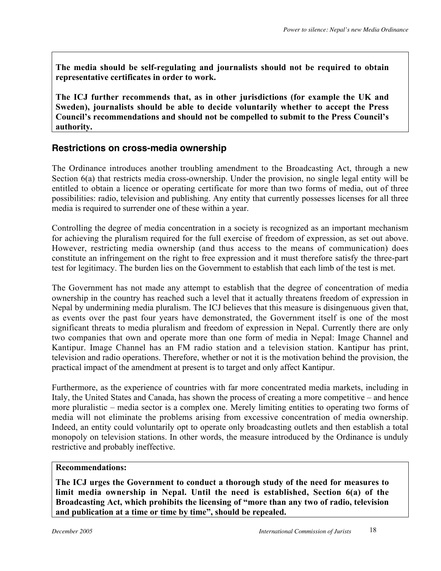**The media should be self-regulating and journalists should not be required to obtain representative certificates in order to work.**

**The ICJ further recommends that, as in other jurisdictions (for example the UK and Sweden), journalists should be able to decide voluntarily whether to accept the Press Council's recommendations and should not be compelled to submit to the Press Council's authority.**

#### **Restrictions on cross-media ownership**

The Ordinance introduces another troubling amendment to the Broadcasting Act, through a new Section 6(a) that restricts media cross-ownership. Under the provision, no single legal entity will be entitled to obtain a licence or operating certificate for more than two forms of media, out of three possibilities: radio, television and publishing. Any entity that currently possesses licenses for all three media is required to surrender one of these within a year.

Controlling the degree of media concentration in a society is recognized as an important mechanism for achieving the pluralism required for the full exercise of freedom of expression, as set out above. However, restricting media ownership (and thus access to the means of communication) does constitute an infringement on the right to free expression and it must therefore satisfy the three-part test for legitimacy. The burden lies on the Government to establish that each limb of the test is met.

The Government has not made any attempt to establish that the degree of concentration of media ownership in the country has reached such a level that it actually threatens freedom of expression in Nepal by undermining media pluralism. The ICJ believes that this measure is disingenuous given that, as events over the past four years have demonstrated, the Government itself is one of the most significant threats to media pluralism and freedom of expression in Nepal. Currently there are only two companies that own and operate more than one form of media in Nepal: Image Channel and Kantipur. Image Channel has an FM radio station and a television station. Kantipur has print, television and radio operations. Therefore, whether or not it is the motivation behind the provision, the practical impact of the amendment at present is to target and only affect Kantipur.

Furthermore, as the experience of countries with far more concentrated media markets, including in Italy, the United States and Canada, has shown the process of creating a more competitive – and hence more pluralistic – media sector is a complex one. Merely limiting entities to operating two forms of media will not eliminate the problems arising from excessive concentration of media ownership. Indeed, an entity could voluntarily opt to operate only broadcasting outlets and then establish a total monopoly on television stations. In other words, the measure introduced by the Ordinance is unduly restrictive and probably ineffective.

#### **Recommendations:**

**The ICJ urges the Government to conduct a thorough study of the need for measures to limit media ownership in Nepal. Until the need is established, Section 6(a) of the Broadcasting Act, which prohibits the licensing of "more than any two of radio, television and publication at a time or time by time", should be repealed.**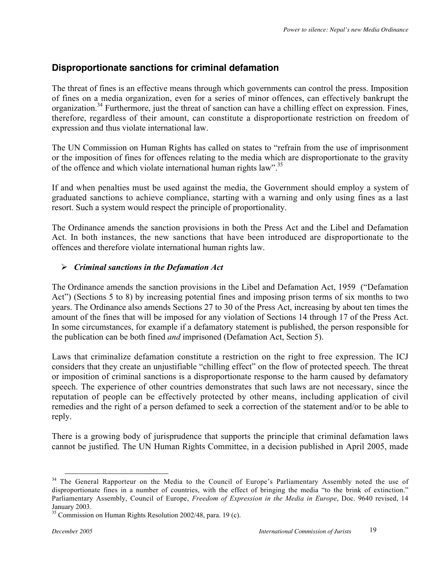#### **Disproportionate sanctions for criminal defamation**

The threat of fines is an effective means through which governments can control the press. Imposition of fines on a media organization, even for a series of minor offences, can effectively bankrupt the organization.<sup>34</sup> Furthermore, just the threat of sanction can have a chilling effect on expression. Fines, therefore, regardless of their amount, can constitute a disproportionate restriction on freedom of expression and thus violate international law.

The UN Commission on Human Rights has called on states to "refrain from the use of imprisonment or the imposition of fines for offences relating to the media which are disproportionate to the gravity of the offence and which violate international human rights law".<sup>35</sup>

If and when penalties must be used against the media, the Government should employ a system of graduated sanctions to achieve compliance, starting with a warning and only using fines as a last resort. Such a system would respect the principle of proportionality.

The Ordinance amends the sanction provisions in both the Press Act and the Libel and Defamation Act. In both instances, the new sanctions that have been introduced are disproportionate to the offences and therefore violate international human rights law.

#### *Criminal sanctions in the Defamation Act*

The Ordinance amends the sanction provisions in the Libel and Defamation Act, 1959 ("Defamation Act") (Sections 5 to 8) by increasing potential fines and imposing prison terms of six months to two years. The Ordinance also amends Sections 27 to 30 of the Press Act, increasing by about ten times the amount of the fines that will be imposed for any violation of Sections 14 through 17 of the Press Act. In some circumstances, for example if a defamatory statement is published, the person responsible for the publication can be both fined *and* imprisoned (Defamation Act, Section 5).

Laws that criminalize defamation constitute a restriction on the right to free expression. The ICJ considers that they create an unjustifiable "chilling effect" on the flow of protected speech. The threat or imposition of criminal sanctions is a disproportionate response to the harm caused by defamatory speech. The experience of other countries demonstrates that such laws are not necessary, since the reputation of people can be effectively protected by other means, including application of civil remedies and the right of a person defamed to seek a correction of the statement and/or to be able to reply.

There is a growing body of jurisprudence that supports the principle that criminal defamation laws cannot be justified. The UN Human Rights Committee, in a decision published in April 2005, made

<sup>&</sup>lt;sup>34</sup> The General Rapporteur on the Media to the Council of Europe's Parliamentary Assembly noted the use of disproportionate fines in a number of countries, with the effect of bringing the media "to the brink of extinction." Parliamentary Assembly, Council of Europe, *Freedom of Expression in the Media in Europe*, Doc. 9640 revised, 14 January 2003.

 $35$  Commission on Human Rights Resolution 2002/48, para. 19 (c).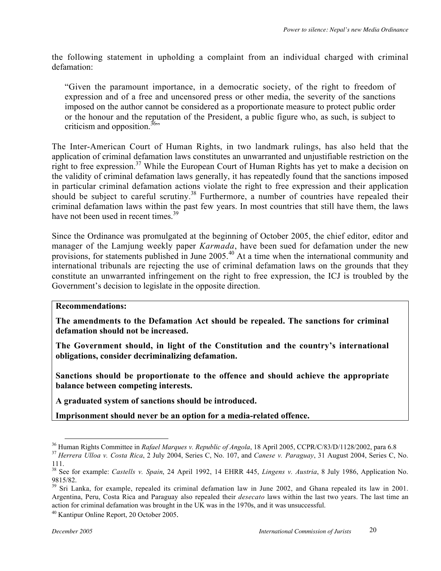the following statement in upholding a complaint from an individual charged with criminal defamation:

"Given the paramount importance, in a democratic society, of the right to freedom of expression and of a free and uncensored press or other media, the severity of the sanctions imposed on the author cannot be considered as a proportionate measure to protect public order or the honour and the reputation of the President, a public figure who, as such, is subject to criticism and opposition.<sup>36</sup>

The Inter-American Court of Human Rights, in two landmark rulings, has also held that the application of criminal defamation laws constitutes an unwarranted and unjustifiable restriction on the right to free expression.<sup>37</sup> While the European Court of Human Rights has yet to make a decision on the validity of criminal defamation laws generally, it has repeatedly found that the sanctions imposed in particular criminal defamation actions violate the right to free expression and their application should be subject to careful scrutiny.<sup>38</sup> Furthermore, a number of countries have repealed their criminal defamation laws within the past few years. In most countries that still have them, the laws have not been used in recent times.<sup>39</sup>

Since the Ordinance was promulgated at the beginning of October 2005, the chief editor, editor and manager of the Lamjung weekly paper *Karmada*, have been sued for defamation under the new provisions, for statements published in June 2005.<sup>40</sup> At a time when the international community and international tribunals are rejecting the use of criminal defamation laws on the grounds that they constitute an unwarranted infringement on the right to free expression, the ICJ is troubled by the Government's decision to legislate in the opposite direction.

#### **Recommendations:**

**The amendments to the Defamation Act should be repealed. The sanctions for criminal defamation should not be increased.**

**The Government should, in light of the Constitution and the country's international obligations, consider decriminalizing defamation.**

**Sanctions should be proportionate to the offence and should achieve the appropriate balance between competing interests.**

**A graduated system of sanctions should be introduced.**

**Imprisonment should never be an option for a media-related offence.**

<sup>&</sup>lt;sup>36</sup> Human Rights Committee in Rafael Marques v. Republic of Angola, 18 April 2005, CCPR/C/83/D/1128/2002, para 6.8

<sup>&</sup>lt;sup>37</sup> Herrera Ulloa v. Costa Rica, 2 July 2004, Series C, No. 107, and Canese v. Paraguay, 31 August 2004, Series C, No. 111.

<sup>38</sup> See for example: *Castells v. Spain*, 24 April 1992, 14 EHRR 445, *Lingens v. Austria*, 8 July 1986, Application No. 9815/82.

<sup>&</sup>lt;sup>39</sup> Sri Lanka, for example, repealed its criminal defamation law in June 2002, and Ghana repealed its law in 2001. Argentina, Peru, Costa Rica and Paraguay also repealed their *desecato* laws within the last two years. The last time an action for criminal defamation was brought in the UK was in the 1970s, and it was unsuccessful.

<sup>40</sup> Kantipur Online Report, 20 October 2005.